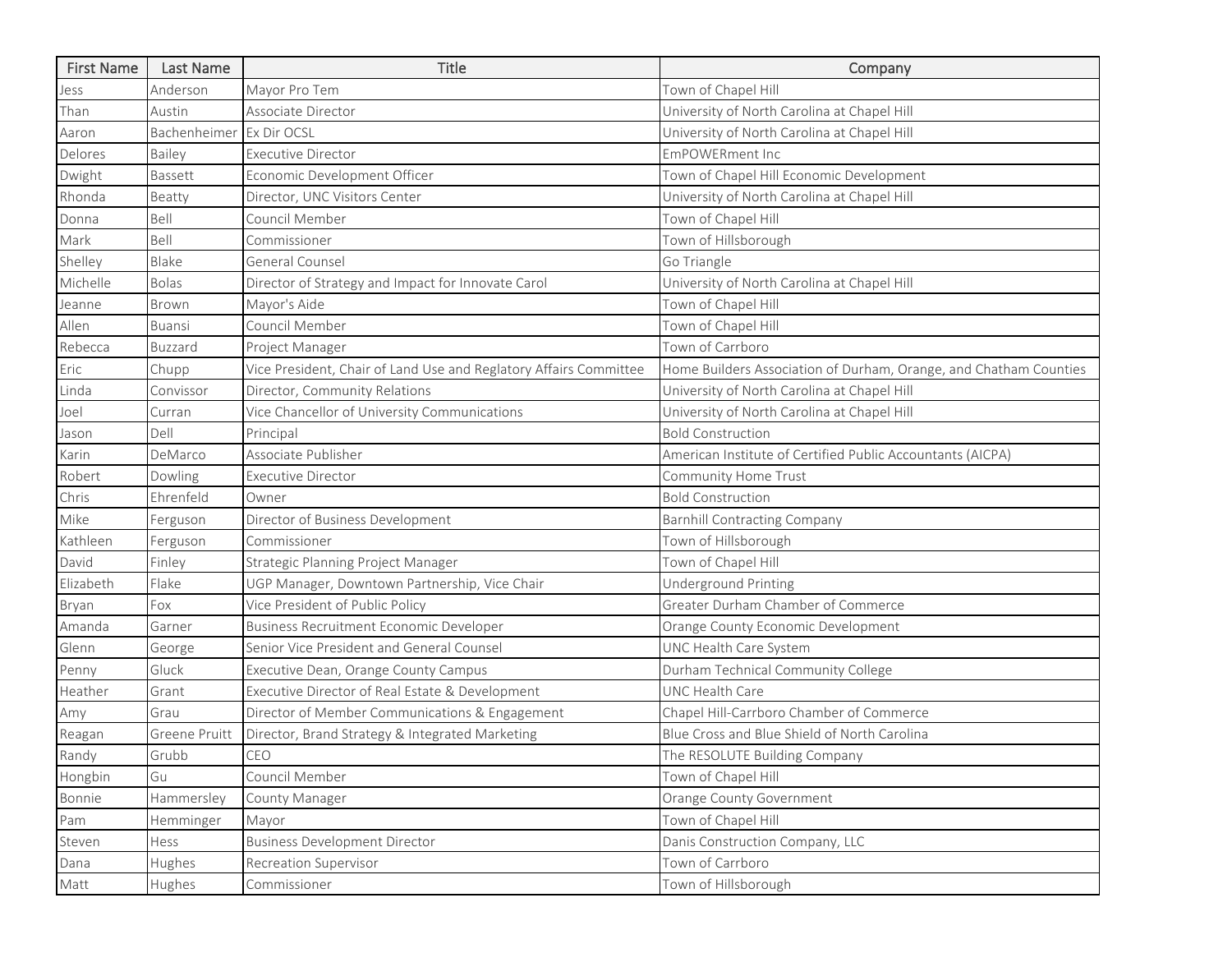| <b>First Name</b> | Last Name      | Title                                                             | Company                                                           |
|-------------------|----------------|-------------------------------------------------------------------|-------------------------------------------------------------------|
| Jess              | Anderson       | Mayor Pro Tem                                                     | Town of Chapel Hill                                               |
| Than              | Austin         | Associate Director                                                | University of North Carolina at Chapel Hill                       |
| Aaron             | Bachenheimer   | Ex Dir OCSL                                                       | University of North Carolina at Chapel Hill                       |
| Delores           | Bailey         | <b>Executive Director</b>                                         | <b>EmPOWERment Inc</b>                                            |
| Dwight            | Bassett        | Economic Development Officer                                      | Town of Chapel Hill Economic Development                          |
| Rhonda            | Beatty         | Director, UNC Visitors Center                                     | University of North Carolina at Chapel Hill                       |
| Donna             | Bell           | Council Member                                                    | Town of Chapel Hill                                               |
| Mark              | Bell           | Commissioner                                                      | Town of Hillsborough                                              |
| Shelley           | Blake          | General Counsel                                                   | Go Triangle                                                       |
| Michelle          | <b>Bolas</b>   | Director of Strategy and Impact for Innovate Carol                | University of North Carolina at Chapel Hill                       |
| Jeanne            | Brown          | Mayor's Aide                                                      | Town of Chapel Hill                                               |
| Allen             | <b>Buansi</b>  | Council Member                                                    | Town of Chapel Hill                                               |
| Rebecca           | <b>Buzzard</b> | Project Manager                                                   | Town of Carrboro                                                  |
| Eric              | Chupp          | Vice President, Chair of Land Use and Reglatory Affairs Committee | Home Builders Association of Durham, Orange, and Chatham Counties |
| Linda             | Convissor      | Director, Community Relations                                     | University of North Carolina at Chapel Hill                       |
| Joel              | Curran         | Vice Chancellor of University Communications                      | University of North Carolina at Chapel Hill                       |
| Jason             | Dell           | Principal                                                         | <b>Bold Construction</b>                                          |
| Karin             | DeMarco        | Associate Publisher                                               | American Institute of Certified Public Accountants (AICPA)        |
| Robert            | Dowling        | <b>Executive Director</b>                                         | Community Home Trust                                              |
| Chris             | Ehrenfeld      | Owner                                                             | <b>Bold Construction</b>                                          |
| Mike              | Ferguson       | Director of Business Development                                  | <b>Barnhill Contracting Company</b>                               |
| Kathleen          | Ferguson       | Commissioner                                                      | Town of Hillsborough                                              |
| David             | Finley         | Strategic Planning Project Manager                                | Town of Chapel Hill                                               |
| Elizabeth         | Flake          | UGP Manager, Downtown Partnership, Vice Chair                     | <b>Underground Printing</b>                                       |
| Bryan             | Fox            | Vice President of Public Policy                                   | Greater Durham Chamber of Commerce                                |
| Amanda            | Garner         | <b>Business Recruitment Economic Developer</b>                    | Orange County Economic Development                                |
| Glenn             | George         | Senior Vice President and General Counsel                         | UNC Health Care System                                            |
| Penny             | Gluck          | Executive Dean, Orange County Campus                              | Durham Technical Community College                                |
| Heather           | Grant          | Executive Director of Real Estate & Development                   | <b>UNC Health Care</b>                                            |
| Amy               | Grau           | Director of Member Communications & Engagement                    | Chapel Hill-Carrboro Chamber of Commerce                          |
| Reagan            | Greene Pruitt  | Director, Brand Strategy & Integrated Marketing                   | Blue Cross and Blue Shield of North Carolina                      |
| Randy             | Grubb          | CEO                                                               | The RESOLUTE Building Company                                     |
| Hongbin           | Gu             | Council Member                                                    | Town of Chapel Hill                                               |
| Bonnie            | Hammersley     | County Manager                                                    | Orange County Government                                          |
| Pam               | Hemminger      | Mayor                                                             | Town of Chapel Hill                                               |
| Steven            | Hess           | <b>Business Development Director</b>                              | Danis Construction Company, LLC                                   |
| Dana              | Hughes         | <b>Recreation Supervisor</b>                                      | Town of Carrboro                                                  |
| Matt              | Hughes         | Commissioner                                                      | Town of Hillsborough                                              |